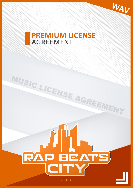

# **PREMIUM LICENSE AGREEMENT**

**QUARTER SUBSCRIPTION** 



MUSIC LICENSE AGREEMENT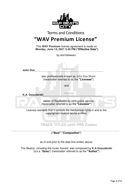

## Terms and Conditions **"WAV Premium License"**

This **WAV Premium** license agreement is made on **Monday, June 14, 2021 5:45 PM ("Effective Date")**

by and between:



**("Beat"**,**"Composition"**)

as of and prior to the date first written above.

The Beat(s), including the music thereof, was composed by **K.A.Gosudarski**  (a.k.a. **'Gosu'**) (hereinafter referred to as the **"Author"**)

-----------------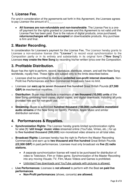#### **1. License Fee.**

For and in consideration of the agreements set forth in this Agreement, the Licensee agrees to pay Licensor the amount of £

• **All licenses are non-refundable and non-transferable**. The License Fee is a oneoff payment for the rights granted to Licensee and this Agreement is not valid until the License Fee has been paid. Due to the nature of digital products, once purchased, **returns/exchanges will not be accepted** on downloadable products. Any purchase is firm and final.

#### **2. Master Recording.**

In consideration for Licensee's payment for the License Fee, The Licensor hereby grants to Licensee a non-exclusive license (this **"License"**) to record vocal synchronization to the Composition partly or in its entirety and substantially in its original form **("New Song")**  Licensee **may create the New Song** by recording his/her written lyrics over the Composition.

### **3. Profitable Distribution.**

Buyer has the right to perform, record, reproduce, distribute, stream, and sell the New Song worldwide, royalty free. These rights are subject only to the limits described below.

- o Licensee shall be permitted to distribute **unlimited non-profit internet downloads**. Non-Profit live Performances and Non-Commercial Broadcasts have no limit.
- o Licensee can **earn up to seven thousand five hundred** Great British Pounds **(£7,500 GBP) in mechanical royalties.**
- o **Distribution**: Buyer may distribute a maximum of **ten thousand (10,000) units** of the New Song combining hard copies, digital copies, and digital downloads, including all units provided free and for non-profit use.
- **Streaming:** Buyer is authorized **hundred thousand (100,000) cumulative monetized audio streams** of the New Song on Spotify, Pandora, Apple Music and similar distribution services.

#### **4. Performances & Royalties.**

- **Synchronization Rights:** The Licensor hereby grants limited synchronization rights for **one (1) 'still Image' music video** streamed online (YouTube, Vimeo, etc..) for up to **five hundred thousand (500,000)** non-monetized video streams on all total sites.
- o **Broadcast Rights:** Licensee hereby has the right to Perform the Master Recording Commercially and earn up to **two thousand and five hundred** Great British Pounds **(£2,500 GBP)** in paid performances. Licensee must only broadcast via **five (5) radio stations.**
	- A separate synchronization license will need to be purchased for distribution of video to Television, Film or Video game. Synchronization of the Master Recording into any moving Visuals; TV, Film, Music Videos and Games is prohibited.
	- Unlimited Free downloads and YouTube uploads with pictures is allowed.
- o **Live Performances:** Licensee is **not allowed** to perform with the Beat **on paid live performances**.
	- **Non-Profit performances** (shows, concerts) **are allowed.**